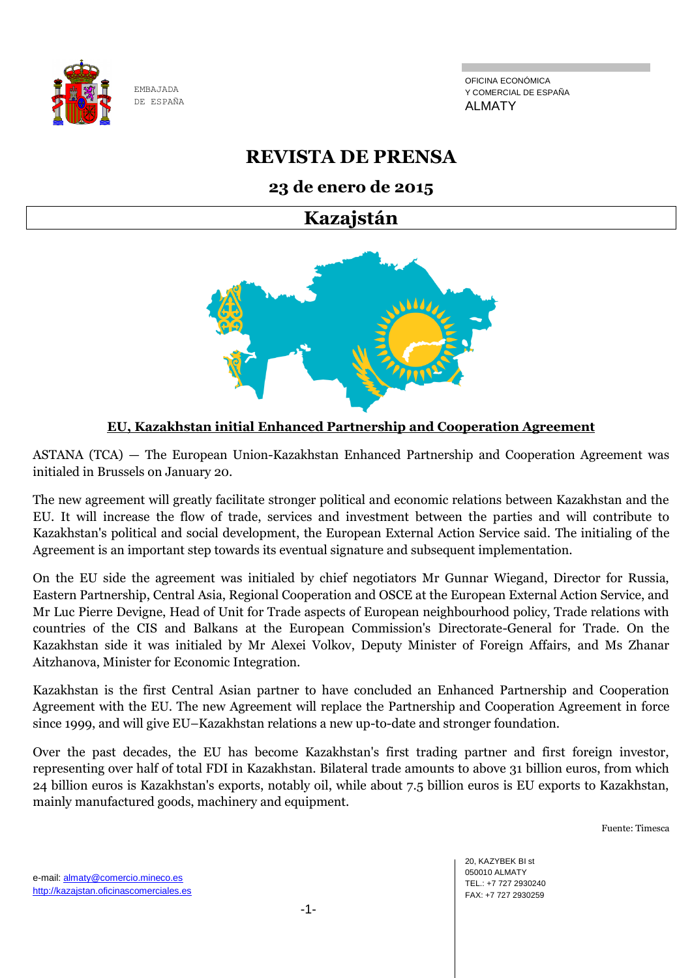

OFICINA ECONÓMICA Y COMERCIAL DE ESPAÑA ALMATY

# **REVISTA DE PRENSA**

## **23 de enero de 2015**

# **Kazajstán**



### **EU, Kazakhstan initial Enhanced Partnership and Cooperation Agreement**

ASTANA (TCA) — The European Union-Kazakhstan Enhanced Partnership and Cooperation Agreement was initialed in Brussels on January 20.

The new agreement will greatly facilitate stronger political and economic relations between Kazakhstan and the EU. It will increase the flow of trade, services and investment between the parties and will contribute to Kazakhstan's political and social development, the European External Action Service said. The initialing of the Agreement is an important step towards its eventual signature and subsequent implementation.

On the EU side the agreement was initialed by chief negotiators Mr Gunnar Wiegand, Director for Russia, Eastern Partnership, Central Asia, Regional Cooperation and OSCE at the European External Action Service, and Mr Luc Pierre Devigne, Head of Unit for Trade aspects of European neighbourhood policy, Trade relations with countries of the CIS and Balkans at the European Commission's Directorate-General for Trade. On the Kazakhstan side it was initialed by Mr Alexei Volkov, Deputy Minister of Foreign Affairs, and Ms Zhanar Aitzhanova, Minister for Economic Integration.

Kazakhstan is the first Central Asian partner to have concluded an Enhanced Partnership and Cooperation Agreement with the EU. The new Agreement will replace the Partnership and Cooperation Agreement in force since 1999, and will give EU–Kazakhstan relations a new up-to-date and stronger foundation.

Over the past decades, the EU has become Kazakhstan's first trading partner and first foreign investor, representing over half of total FDI in Kazakhstan. Bilateral trade amounts to above 31 billion euros, from which 24 billion euros is Kazakhstan's exports, notably oil, while about 7.5 billion euros is EU exports to Kazakhstan, mainly manufactured goods, machinery and equipment.

Fuente: Timesca

20, KAZYBEK BI st 050010 ALMATY TEL.: +7 727 2930240 FAX: +7 727 2930259

e-mail: almaty@comercio.mineco.es http://kazajstan.oficinascomerciales.es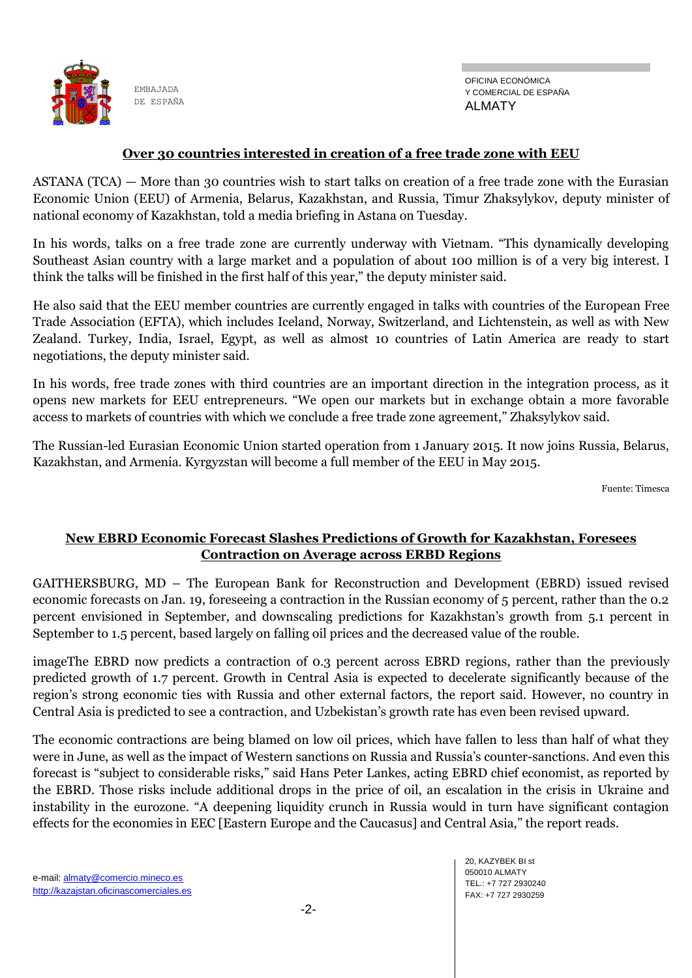

#### **Over 30 countries interested in creation of a free trade zone with EEU**

ASTANA (TCA) — More than 30 countries wish to start talks on creation of a free trade zone with the Eurasian Economic Union (EEU) of Armenia, Belarus, Kazakhstan, and Russia, Timur Zhaksylykov, deputy minister of national economy of Kazakhstan, told a media briefing in Astana on Tuesday.

In his words, talks on a free trade zone are currently underway with Vietnam. "This dynamically developing Southeast Asian country with a large market and a population of about 100 million is of a very big interest. I think the talks will be finished in the first half of this year," the deputy minister said.

He also said that the EEU member countries are currently engaged in talks with countries of the European Free Trade Association (EFTA), which includes Iceland, Norway, Switzerland, and Lichtenstein, as well as with New Zealand. Turkey, India, Israel, Egypt, as well as almost 10 countries of Latin America are ready to start negotiations, the deputy minister said.

In his words, free trade zones with third countries are an important direction in the integration process, as it opens new markets for EEU entrepreneurs. "We open our markets but in exchange obtain a more favorable access to markets of countries with which we conclude a free trade zone agreement," Zhaksylykov said.

The Russian-led Eurasian Economic Union started operation from 1 January 2015. It now joins Russia, Belarus, Kazakhstan, and Armenia. Kyrgyzstan will become a full member of the EEU in May 2015.

Fuente: Timesca

#### **New EBRD Economic Forecast Slashes Predictions of Growth for Kazakhstan, Foresees Contraction on Average across ERBD Regions**

GAITHERSBURG, MD – The European Bank for Reconstruction and Development (EBRD) issued revised economic forecasts on Jan. 19, foreseeing a contraction in the Russian economy of 5 percent, rather than the 0.2 percent envisioned in September, and downscaling predictions for Kazakhstan's growth from 5.1 percent in September to 1.5 percent, based largely on falling oil prices and the decreased value of the rouble.

imageThe EBRD now predicts a contraction of 0.3 percent across EBRD regions, rather than the previously predicted growth of 1.7 percent. Growth in Central Asia is expected to decelerate significantly because of the region's strong economic ties with Russia and other external factors, the report said. However, no country in Central Asia is predicted to see a contraction, and Uzbekistan's growth rate has even been revised upward.

The economic contractions are being blamed on low oil prices, which have fallen to less than half of what they were in June, as well as the impact of Western sanctions on Russia and Russia's counter-sanctions. And even this forecast is "subject to considerable risks," said Hans Peter Lankes, acting EBRD chief economist, as reported by the EBRD. Those risks include additional drops in the price of oil, an escalation in the crisis in Ukraine and instability in the eurozone. "A deepening liquidity crunch in Russia would in turn have significant contagion effects for the economies in EEC [Eastern Europe and the Caucasus] and Central Asia," the report reads.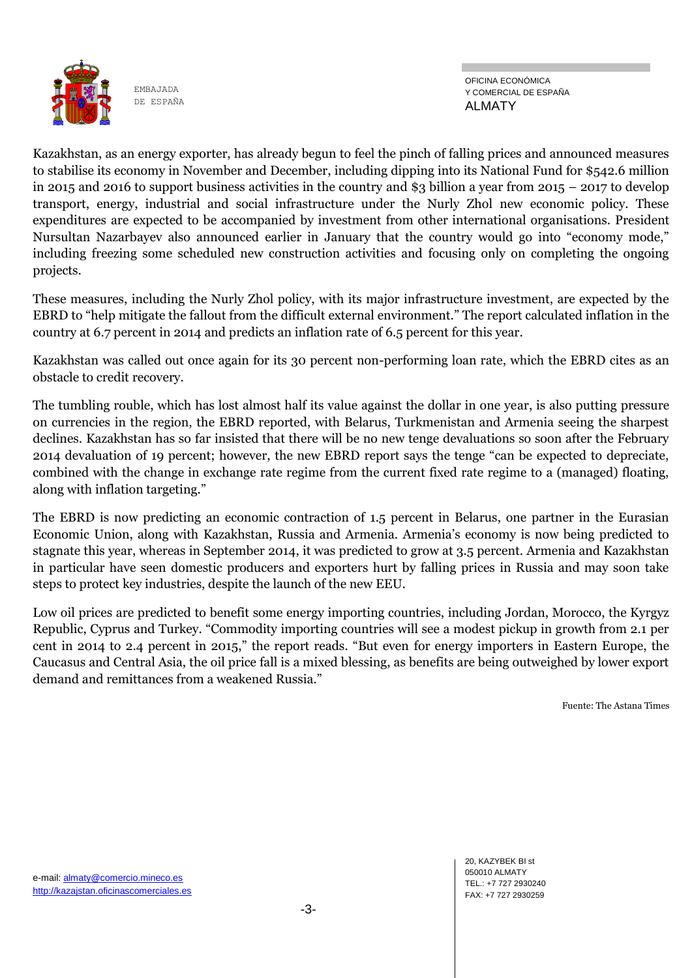

Kazakhstan, as an energy exporter, has already begun to feel the pinch of falling prices and announced measures to stabilise its economy in November and December, including dipping into its National Fund for \$542.6 million in 2015 and 2016 to support business activities in the country and \$3 billion a year from 2015 – 2017 to develop transport, energy, industrial and social infrastructure under the Nurly Zhol new economic policy. These expenditures are expected to be accompanied by investment from other international organisations. President Nursultan Nazarbayev also announced earlier in January that the country would go into "economy mode," including freezing some scheduled new construction activities and focusing only on completing the ongoing projects.

These measures, including the Nurly Zhol policy, with its major infrastructure investment, are expected by the EBRD to "help mitigate the fallout from the difficult external environment." The report calculated inflation in the country at 6.7 percent in 2014 and predicts an inflation rate of 6.5 percent for this year.

Kazakhstan was called out once again for its 30 percent non-performing loan rate, which the EBRD cites as an obstacle to credit recovery.

The tumbling rouble, which has lost almost half its value against the dollar in one year, is also putting pressure on currencies in the region, the EBRD reported, with Belarus, Turkmenistan and Armenia seeing the sharpest declines. Kazakhstan has so far insisted that there will be no new tenge devaluations so soon after the February 2014 devaluation of 19 percent; however, the new EBRD report says the tenge "can be expected to depreciate, combined with the change in exchange rate regime from the current fixed rate regime to a (managed) floating, along with inflation targeting."

The EBRD is now predicting an economic contraction of 1.5 percent in Belarus, one partner in the Eurasian Economic Union, along with Kazakhstan, Russia and Armenia. Armenia's economy is now being predicted to stagnate this year, whereas in September 2014, it was predicted to grow at 3.5 percent. Armenia and Kazakhstan in particular have seen domestic producers and exporters hurt by falling prices in Russia and may soon take steps to protect key industries, despite the launch of the new EEU.

Low oil prices are predicted to benefit some energy importing countries, including Jordan, Morocco, the Kyrgyz Republic, Cyprus and Turkey. "Commodity importing countries will see a modest pickup in growth from 2.1 per cent in 2014 to 2.4 percent in 2015," the report reads. "But even for energy importers in Eastern Europe, the Caucasus and Central Asia, the oil price fall is a mixed blessing, as benefits are being outweighed by lower export demand and remittances from a weakened Russia."

Fuente: The Astana Times

20, KAZYBEK BI st 050010 ALMATY TEL.: +7 727 2930240 FAX: +7 727 2930259

e-mail: almaty@comercio.mineco.es http://kazajstan.oficinascomerciales.es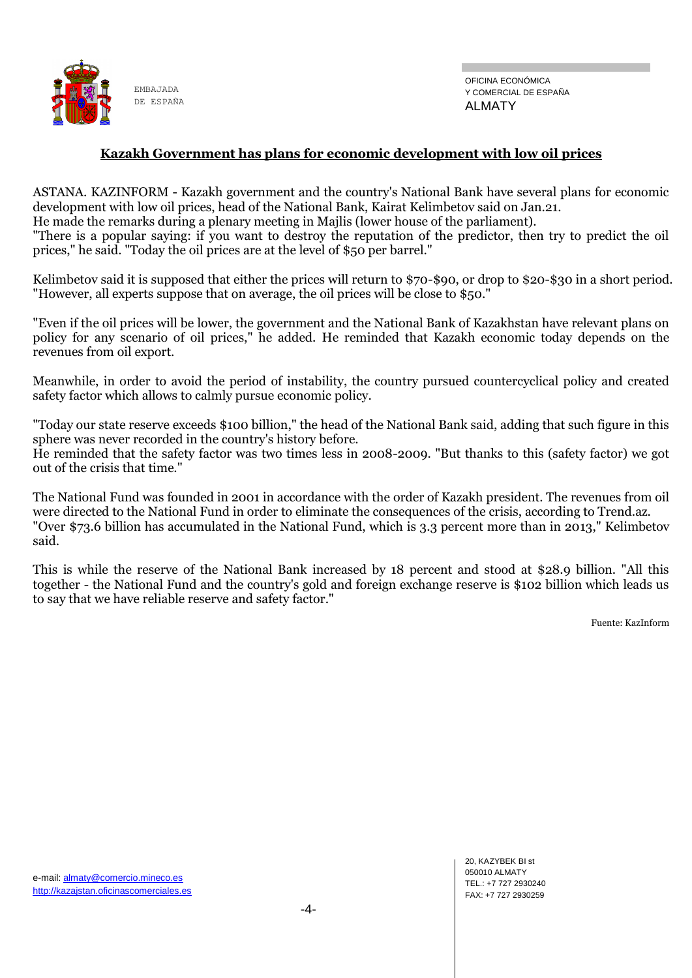

#### **Kazakh Government has plans for economic development with low oil prices**

ASTANA. KAZINFORM - Kazakh government and the country's National Bank have several plans for economic development with low oil prices, head of the National Bank, Kairat Kelimbetov said on Jan.21. He made the remarks during a plenary meeting in Majlis (lower house of the parliament). "There is a popular saying: if you want to destroy the reputation of the predictor, then try to predict the oil prices," he said. "Today the oil prices are at the level of \$50 per barrel."

Kelimbetov said it is supposed that either the prices will return to \$70-\$90, or drop to \$20-\$30 in a short period. "However, all experts suppose that on average, the oil prices will be close to \$50."

"Even if the oil prices will be lower, the government and the National Bank of Kazakhstan have relevant plans on policy for any scenario of oil prices," he added. He reminded that Kazakh economic today depends on the revenues from oil export.

Meanwhile, in order to avoid the period of instability, the country pursued countercyclical policy and created safety factor which allows to calmly pursue economic policy.

"Today our state reserve exceeds \$100 billion," the head of the National Bank said, adding that such figure in this sphere was never recorded in the country's history before.

He reminded that the safety factor was two times less in 2008-2009. "But thanks to this (safety factor) we got out of the crisis that time."

The National Fund was founded in 2001 in accordance with the order of Kazakh president. The revenues from oil were directed to the National Fund in order to eliminate the consequences of the crisis, according to Trend.az. "Over \$73.6 billion has accumulated in the National Fund, which is 3.3 percent more than in 2013," Kelimbetov said.

This is while the reserve of the National Bank increased by 18 percent and stood at \$28.9 billion. "All this together - the National Fund and the country's gold and foreign exchange reserve is \$102 billion which leads us to say that we have reliable reserve and safety factor."

Fuente: KazInform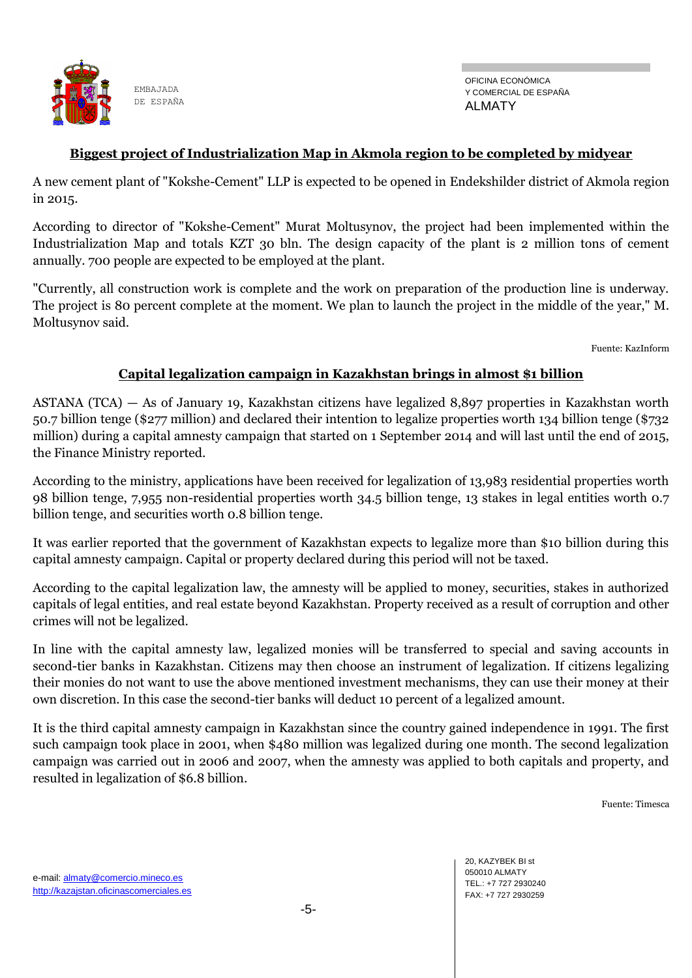

#### **Biggest project of Industrialization Map in Akmola region to be completed by midyear**

A new cement plant of "Kokshe-Cement" LLP is expected to be opened in Endekshilder district of Akmola region in 2015.

According to director of "Kokshe-Cement" Murat Moltusynov, the project had been implemented within the Industrialization Map and totals KZT 30 bln. The design capacity of the plant is 2 million tons of cement annually. 700 people are expected to be employed at the plant.

"Currently, all construction work is complete and the work on preparation of the production line is underway. The project is 80 percent complete at the moment. We plan to launch the project in the middle of the year," M. Moltusynov said.

Fuente: KazInform

#### **Capital legalization campaign in Kazakhstan brings in almost \$1 billion**

ASTANA (TCA) — As of January 19, Kazakhstan citizens have legalized 8,897 properties in Kazakhstan worth 50.7 billion tenge (\$277 million) and declared their intention to legalize properties worth 134 billion tenge (\$732 million) during a capital amnesty campaign that started on 1 September 2014 and will last until the end of 2015, the Finance Ministry reported.

According to the ministry, applications have been received for legalization of 13,983 residential properties worth 98 billion tenge, 7,955 non-residential properties worth 34.5 billion tenge, 13 stakes in legal entities worth 0.7 billion tenge, and securities worth 0.8 billion tenge.

It was earlier reported that the government of Kazakhstan expects to legalize more than \$10 billion during this capital amnesty campaign. Capital or property declared during this period will not be taxed.

According to the capital legalization law, the amnesty will be applied to money, securities, stakes in authorized capitals of legal entities, and real estate beyond Kazakhstan. Property received as a result of corruption and other crimes will not be legalized.

In line with the capital amnesty law, legalized monies will be transferred to special and saving accounts in second-tier banks in Kazakhstan. Citizens may then choose an instrument of legalization. If citizens legalizing their monies do not want to use the above mentioned investment mechanisms, they can use their money at their own discretion. In this case the second-tier banks will deduct 10 percent of a legalized amount.

It is the third capital amnesty campaign in Kazakhstan since the country gained independence in 1991. The first such campaign took place in 2001, when \$480 million was legalized during one month. The second legalization campaign was carried out in 2006 and 2007, when the amnesty was applied to both capitals and property, and resulted in legalization of \$6.8 billion.

Fuente: Timesca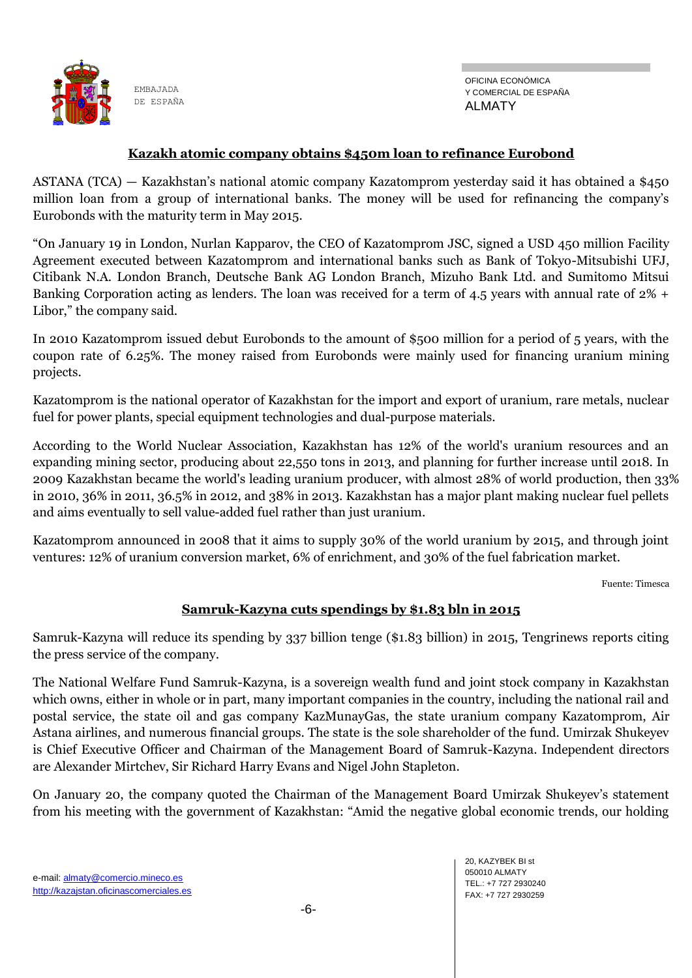

OFICINA ECONÓMICA Y COMERCIAL DE ESPAÑA ALMATY

#### **Kazakh atomic company obtains \$450m loan to refinance Eurobond**

ASTANA (TCA) — Kazakhstan's national atomic company Kazatomprom yesterday said it has obtained a \$450 million loan from a group of international banks. The money will be used for refinancing the company's Eurobonds with the maturity term in May 2015.

"On January 19 in London, Nurlan Kapparov, the CEO of Kazatomprom JSC, signed a USD 450 million Facility Agreement executed between Kazatomprom and international banks such as Bank of Tokyo-Mitsubishi UFJ, Citibank N.A. London Branch, Deutsche Bank AG London Branch, Mizuho Bank Ltd. and Sumitomo Mitsui Banking Corporation acting as lenders. The loan was received for a term of 4.5 years with annual rate of 2% + Libor," the company said.

In 2010 Kazatomprom issued debut Eurobonds to the amount of \$500 million for a period of 5 years, with the coupon rate of 6.25%. The money raised from Eurobonds were mainly used for financing uranium mining projects.

Kazatomprom is the national operator of Kazakhstan for the import and export of uranium, rare metals, nuclear fuel for power plants, special equipment technologies and dual-purpose materials.

According to the World Nuclear Association, Kazakhstan has 12% of the world's uranium resources and an expanding mining sector, producing about 22,550 tons in 2013, and planning for further increase until 2018. In 2009 Kazakhstan became the world's leading uranium producer, with almost 28% of world production, then 33% in 2010, 36% in 2011, 36.5% in 2012, and 38% in 2013. Kazakhstan has a major plant making nuclear fuel pellets and aims eventually to sell value-added fuel rather than just uranium.

Kazatomprom announced in 2008 that it aims to supply 30% of the world uranium by 2015, and through joint ventures: 12% of uranium conversion market, 6% of enrichment, and 30% of the fuel fabrication market.

Fuente: Timesca

#### **Samruk-Kazyna cuts spendings by \$1.83 bln in 2015**

Samruk-Kazyna will reduce its spending by 337 billion tenge (\$1.83 billion) in 2015, Tengrinews reports citing the press service of the company.

The National Welfare Fund Samruk-Kazyna, is a sovereign wealth fund and joint stock company in Kazakhstan which owns, either in whole or in part, many important companies in the country, including the national rail and postal service, the state oil and gas company KazMunayGas, the state uranium company Kazatomprom, Air Astana airlines, and numerous financial groups. The state is the sole shareholder of the fund. Umirzak Shukeyev is Chief Executive Officer and Chairman of the Management Board of Samruk-Kazyna. Independent directors are Alexander Mirtchev, Sir Richard Harry Evans and Nigel John Stapleton.

On January 20, the company quoted the Chairman of the Management Board Umirzak Shukeyev's statement from his meeting with the government of Kazakhstan: "Amid the negative global economic trends, our holding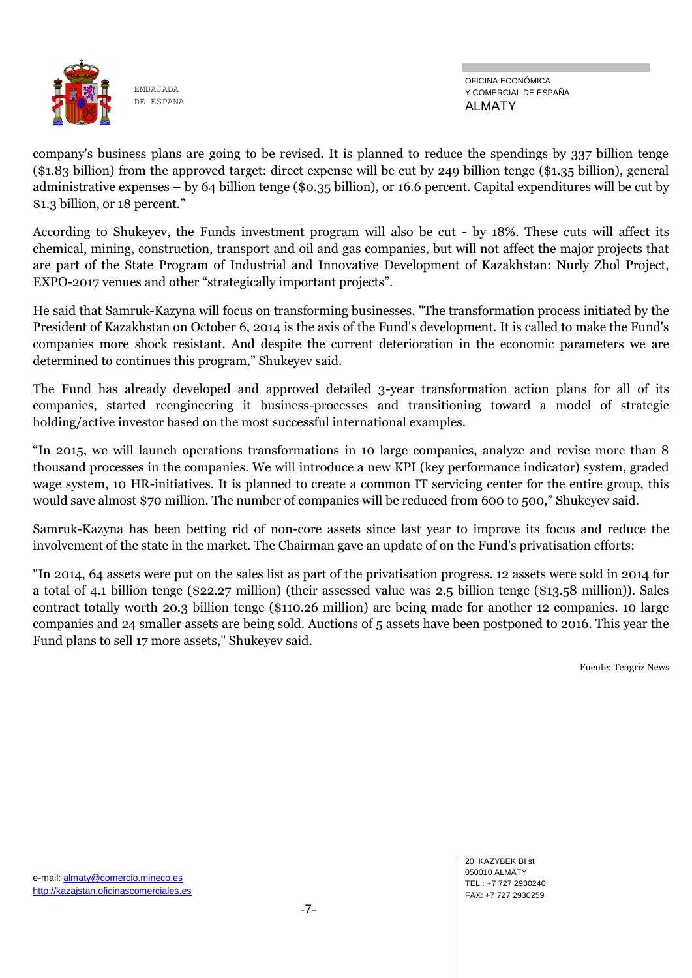

OFICINA ECONÓMICA Y COMERCIAL DE ESPAÑA ALMATY

company's business plans are going to be revised. It is planned to reduce the spendings by 337 billion tenge (\$1.83 billion) from the approved target: direct expense will be cut by 249 billion tenge (\$1.35 billion), general administrative expenses – by 64 billion tenge (\$0.35 billion), or 16.6 percent. Capital expenditures will be cut by \$1.3 billion, or 18 percent."

According to Shukeyev, the Funds investment program will also be cut - by 18%. These cuts will affect its chemical, mining, construction, transport and oil and gas companies, but will not affect the major projects that are part of the State Program of Industrial and Innovative Development of Kazakhstan: Nurly Zhol Project, EXPO-2017 venues and other "strategically important projects".

He said that Samruk-Kazyna will focus on transforming businesses. "The transformation process initiated by the President of Kazakhstan on October 6, 2014 is the axis of the Fund's development. It is called to make the Fund's companies more shock resistant. And despite the current deterioration in the economic parameters we are determined to continues this program," Shukeyev said.

The Fund has already developed and approved detailed 3-year transformation action plans for all of its companies, started reengineering it business-processes and transitioning toward a model of strategic holding/active investor based on the most successful international examples.

"In 2015, we will launch operations transformations in 10 large companies, analyze and revise more than 8 thousand processes in the companies. We will introduce a new KPI (key performance indicator) system, graded wage system, 10 HR-initiatives. It is planned to create a common IT servicing center for the entire group, this would save almost \$70 million. The number of companies will be reduced from 600 to 500," Shukeyev said.

Samruk-Kazyna has been betting rid of non-core assets since last year to improve its focus and reduce the involvement of the state in the market. The Chairman gave an update of on the Fund's privatisation efforts:

"In 2014, 64 assets were put on the sales list as part of the privatisation progress. 12 assets were sold in 2014 for a total of 4.1 billion tenge (\$22.27 million) (their assessed value was 2.5 billion tenge (\$13.58 million)). Sales contract totally worth 20.3 billion tenge (\$110.26 million) are being made for another 12 companies. 10 large companies and 24 smaller assets are being sold. Auctions of 5 assets have been postponed to 2016. This year the Fund plans to sell 17 more assets," Shukeyev said.

Fuente: Tengriz News

20, KAZYBEK BI st 050010 ALMATY TEL.: +7 727 2930240 FAX: +7 727 2930259

e-mail: almaty@comercio.mineco.es http://kazajstan.oficinascomerciales.es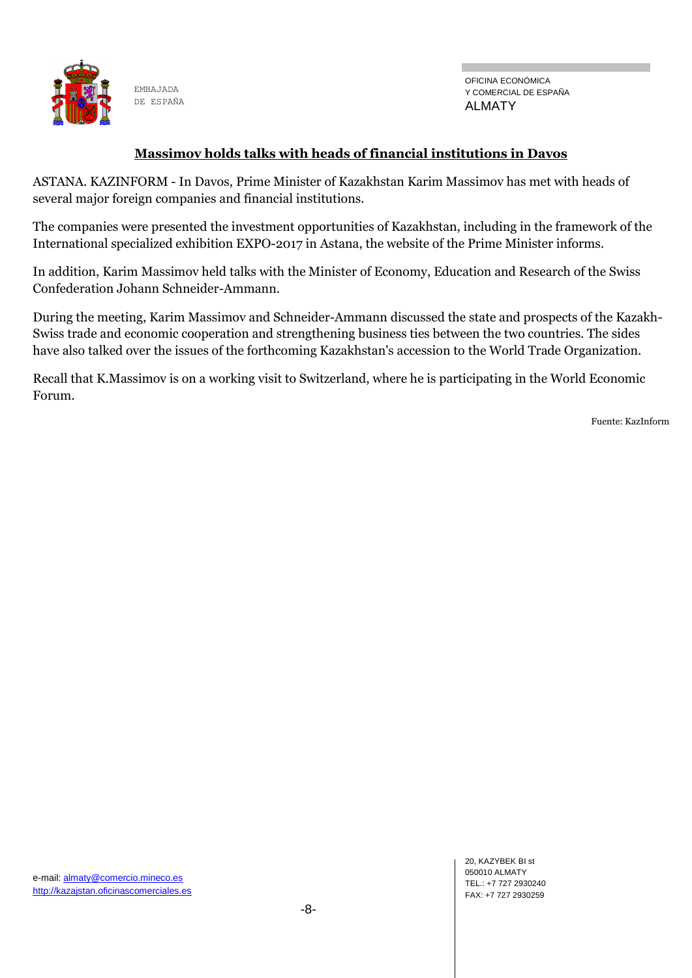

OFICINA ECONÓMICA Y COMERCIAL DE ESPAÑA ALMATY

#### **Massimov holds talks with heads of financial institutions in Davos**

ASTANA. KAZINFORM - In Davos, Prime Minister of Kazakhstan Karim Massimov has met with heads of several major foreign companies and financial institutions.

The companies were presented the investment opportunities of Kazakhstan, including in the framework of the International specialized exhibition EXPO-2017 in Astana, the website of the Prime Minister informs.

In addition, Karim Massimov held talks with the Minister of Economy, Education and Research of the Swiss Confederation Johann Schneider-Ammann.

During the meeting, Karim Massimov and Schneider-Ammann discussed the state and prospects of the Kazakh-Swiss trade and economic cooperation and strengthening business ties between the two countries. The sides have also talked over the issues of the forthcoming Kazakhstan's accession to the World Trade Organization.

Recall that K.Massimov is on a working visit to Switzerland, where he is participating in the World Economic Forum.

Fuente: KazInform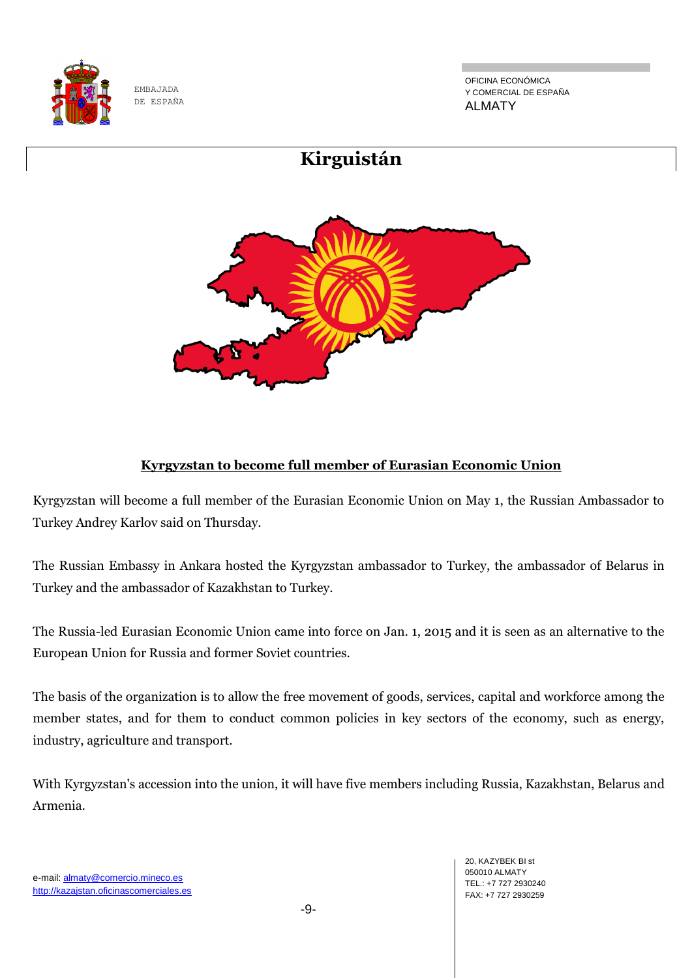

OFICINA ECONÓMICA Y COMERCIAL DE ESPAÑA ALMATY



### **Kyrgyzstan to become full member of Eurasian Economic Union**

Kyrgyzstan will become a full member of the Eurasian Economic Union on May 1, the Russian Ambassador to Turkey Andrey Karlov said on Thursday.

The Russian Embassy in Ankara hosted the Kyrgyzstan ambassador to Turkey, the ambassador of Belarus in Turkey and the ambassador of Kazakhstan to Turkey.

The Russia-led Eurasian Economic Union came into force on Jan. 1, 2015 and it is seen as an alternative to the European Union for Russia and former Soviet countries.

The basis of the organization is to allow the free movement of goods, services, capital and workforce among the member states, and for them to conduct common policies in key sectors of the economy, such as energy, industry, agriculture and transport.

With Kyrgyzstan's accession into the union, it will have five members including Russia, Kazakhstan, Belarus and Armenia.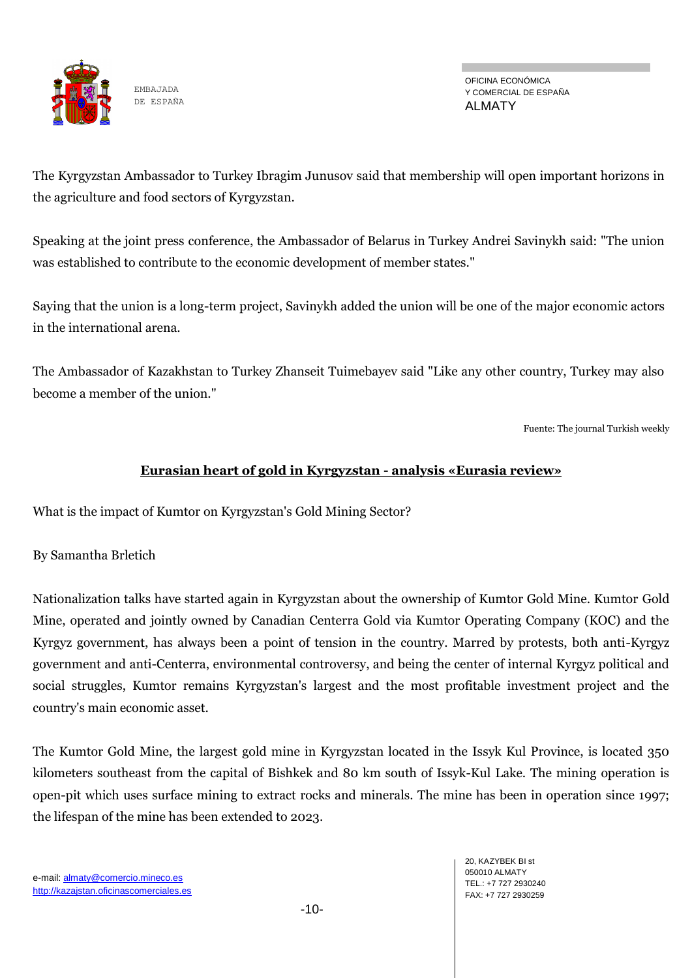

OFICINA ECONÓMICA Y COMERCIAL DE ESPAÑA ALMATY

The Kyrgyzstan Ambassador to Turkey Ibragim Junusov said that membership will open important horizons in the agriculture and food sectors of Kyrgyzstan.

Speaking at the joint press conference, the Ambassador of Belarus in Turkey Andrei Savinykh said: "The union was established to contribute to the economic development of member states."

Saying that the union is a long-term project, Savinykh added the union will be one of the major economic actors in the international arena.

The Ambassador of Kazakhstan to Turkey Zhanseit Tuimebayev said "Like any other country, Turkey may also become a member of the union."

Fuente: The journal Turkish weekly

#### **Eurasian heart of gold in Kyrgyzstan - analysis «Eurasia review»**

What is the impact of Kumtor on Kyrgyzstan's Gold Mining Sector?

By Samantha Brletich

Nationalization talks have started again in Kyrgyzstan about the ownership of Kumtor Gold Mine. Kumtor Gold Mine, operated and jointly owned by Canadian Centerra Gold via Kumtor Operating Company (KOC) and the Kyrgyz government, has always been a point of tension in the country. Marred by protests, both anti-Kyrgyz government and anti-Centerra, environmental controversy, and being the center of internal Kyrgyz political and social struggles, Kumtor remains Kyrgyzstan's largest and the most profitable investment project and the country's main economic asset.

The Kumtor Gold Mine, the largest gold mine in Kyrgyzstan located in the Issyk Kul Province, is located 350 kilometers southeast from the capital of Bishkek and 80 km south of Issyk-Kul Lake. The mining operation is open-pit which uses surface mining to extract rocks and minerals. The mine has been in operation since 1997; the lifespan of the mine has been extended to 2023.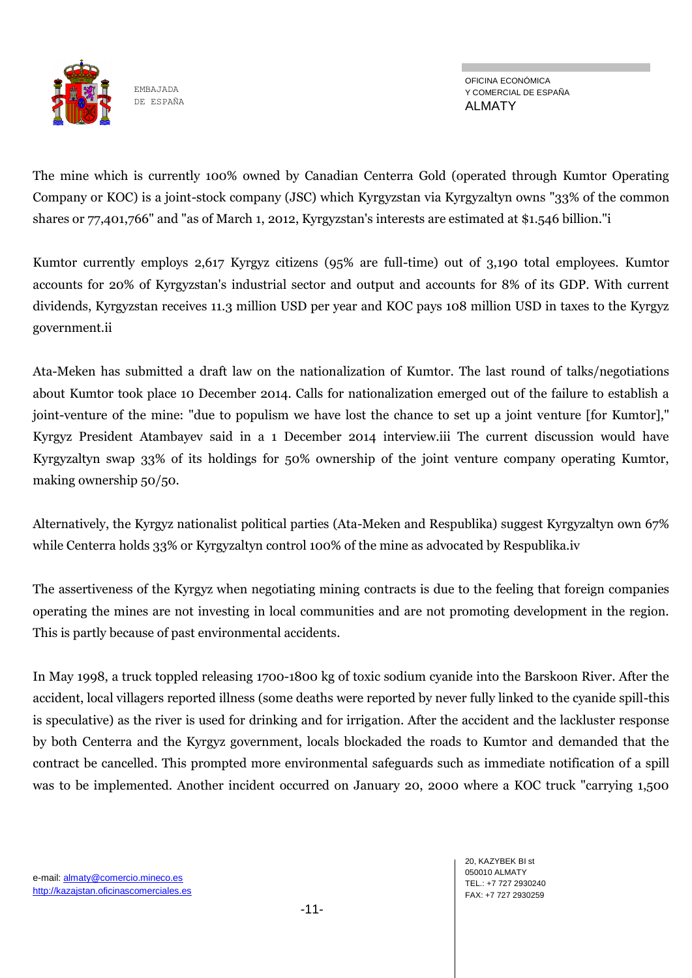

The mine which is currently 100% owned by Canadian Centerra Gold (operated through Kumtor Operating Company or KOC) is a joint-stock company (JSC) which Kyrgyzstan via Kyrgyzaltyn owns "33% of the common shares or 77,401,766" and "as of March 1, 2012, Kyrgyzstan's interests are estimated at \$1.546 billion."i

Kumtor currently employs 2,617 Kyrgyz citizens (95% are full-time) out of 3,190 total employees. Kumtor accounts for 20% of Kyrgyzstan's industrial sector and output and accounts for 8% of its GDP. With current dividends, Kyrgyzstan receives 11.3 million USD per year and KOC pays 108 million USD in taxes to the Kyrgyz government.ii

Ata-Meken has submitted a draft law on the nationalization of Kumtor. The last round of talks/negotiations about Kumtor took place 10 December 2014. Calls for nationalization emerged out of the failure to establish a joint-venture of the mine: "due to populism we have lost the chance to set up a joint venture [for Kumtor]," Kyrgyz President Atambayev said in a 1 December 2014 interview.iii The current discussion would have Kyrgyzaltyn swap 33% of its holdings for 50% ownership of the joint venture company operating Kumtor, making ownership 50/50.

Alternatively, the Kyrgyz nationalist political parties (Ata-Meken and Respublika) suggest Kyrgyzaltyn own 67% while Centerra holds 33% or Kyrgyzaltyn control 100% of the mine as advocated by Respublika.iv

The assertiveness of the Kyrgyz when negotiating mining contracts is due to the feeling that foreign companies operating the mines are not investing in local communities and are not promoting development in the region. This is partly because of past environmental accidents.

In May 1998, a truck toppled releasing 1700-1800 kg of toxic sodium cyanide into the Barskoon River. After the accident, local villagers reported illness (some deaths were reported by never fully linked to the cyanide spill-this is speculative) as the river is used for drinking and for irrigation. After the accident and the lackluster response by both Centerra and the Kyrgyz government, locals blockaded the roads to Kumtor and demanded that the contract be cancelled. This prompted more environmental safeguards such as immediate notification of a spill was to be implemented. Another incident occurred on January 20, 2000 where a KOC truck "carrying 1,500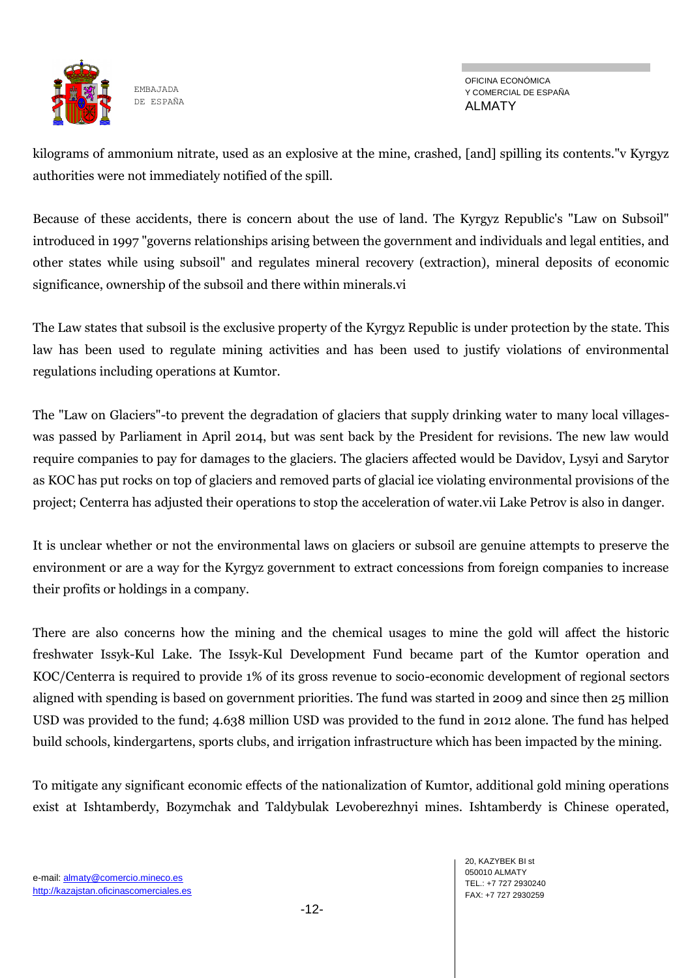

OFICINA ECONÓMICA Y COMERCIAL DE ESPAÑA ALMATY

kilograms of ammonium nitrate, used as an explosive at the mine, crashed, [and] spilling its contents."v Kyrgyz authorities were not immediately notified of the spill.

Because of these accidents, there is concern about the use of land. The Kyrgyz Republic's "Law on Subsoil" introduced in 1997 "governs relationships arising between the government and individuals and legal entities, and other states while using subsoil" and regulates mineral recovery (extraction), mineral deposits of economic significance, ownership of the subsoil and there within minerals.vi

The Law states that subsoil is the exclusive property of the Kyrgyz Republic is under protection by the state. This law has been used to regulate mining activities and has been used to justify violations of environmental regulations including operations at Kumtor.

The "Law on Glaciers"-to prevent the degradation of glaciers that supply drinking water to many local villageswas passed by Parliament in April 2014, but was sent back by the President for revisions. The new law would require companies to pay for damages to the glaciers. The glaciers affected would be Davidov, Lysyi and Sarytor as KOC has put rocks on top of glaciers and removed parts of glacial ice violating environmental provisions of the project; Centerra has adjusted their operations to stop the acceleration of water.vii Lake Petrov is also in danger.

It is unclear whether or not the environmental laws on glaciers or subsoil are genuine attempts to preserve the environment or are a way for the Kyrgyz government to extract concessions from foreign companies to increase their profits or holdings in a company.

There are also concerns how the mining and the chemical usages to mine the gold will affect the historic freshwater Issyk-Kul Lake. The Issyk-Kul Development Fund became part of the Kumtor operation and KOC/Centerra is required to provide 1% of its gross revenue to socio-economic development of regional sectors aligned with spending is based on government priorities. The fund was started in 2009 and since then 25 million USD was provided to the fund; 4.638 million USD was provided to the fund in 2012 alone. The fund has helped build schools, kindergartens, sports clubs, and irrigation infrastructure which has been impacted by the mining.

To mitigate any significant economic effects of the nationalization of Kumtor, additional gold mining operations exist at Ishtamberdy, Bozymchak and Taldybulak Levoberezhnyi mines. Ishtamberdy is Chinese operated,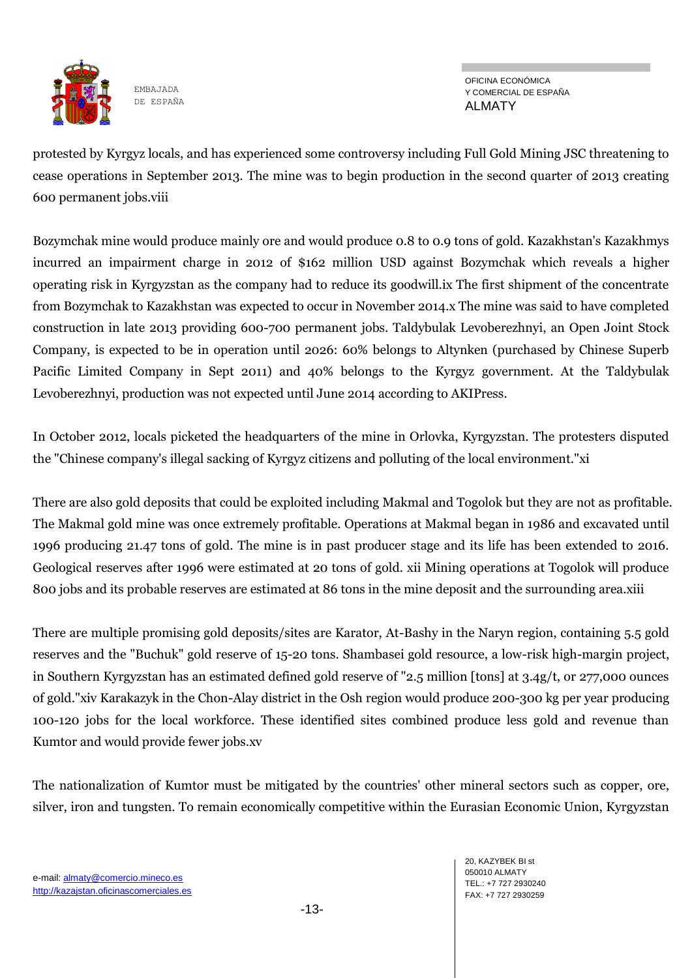

OFICINA ECONÓMICA Y COMERCIAL DE ESPAÑA ALMATY

protested by Kyrgyz locals, and has experienced some controversy including Full Gold Mining JSC threatening to cease operations in September 2013. The mine was to begin production in the second quarter of 2013 creating 600 permanent jobs.viii

Bozymchak mine would produce mainly ore and would produce 0.8 to 0.9 tons of gold. Kazakhstan's Kazakhmys incurred an impairment charge in 2012 of \$162 million USD against Bozymchak which reveals a higher operating risk in Kyrgyzstan as the company had to reduce its goodwill.ix The first shipment of the concentrate from Bozymchak to Kazakhstan was expected to occur in November 2014.x The mine was said to have completed construction in late 2013 providing 600-700 permanent jobs. Taldybulak Levoberezhnyi, an Open Joint Stock Company, is expected to be in operation until 2026: 60% belongs to Altynken (purchased by Chinese Superb Pacific Limited Company in Sept 2011) and 40% belongs to the Kyrgyz government. At the Taldybulak Levoberezhnyi, production was not expected until June 2014 according to AKIPress.

In October 2012, locals picketed the headquarters of the mine in Orlovka, Kyrgyzstan. The protesters disputed the "Chinese company's illegal sacking of Kyrgyz citizens and polluting of the local environment."xi

There are also gold deposits that could be exploited including Makmal and Togolok but they are not as profitable. The Makmal gold mine was once extremely profitable. Operations at Makmal began in 1986 and excavated until 1996 producing 21.47 tons of gold. The mine is in past producer stage and its life has been extended to 2016. Geological reserves after 1996 were estimated at 20 tons of gold. xii Mining operations at Togolok will produce 800 jobs and its probable reserves are estimated at 86 tons in the mine deposit and the surrounding area.xiii

There are multiple promising gold deposits/sites are Karator, At-Bashy in the Naryn region, containing 5.5 gold reserves and the "Buchuk" gold reserve of 15-20 tons. Shambasei gold resource, a low-risk high-margin project, in Southern Kyrgyzstan has an estimated defined gold reserve of "2.5 million [tons] at 3.4g/t, or 277,000 ounces of gold."xiv Karakazyk in the Chon-Alay district in the Osh region would produce 200-300 kg per year producing 100-120 jobs for the local workforce. These identified sites combined produce less gold and revenue than Kumtor and would provide fewer jobs.xv

The nationalization of Kumtor must be mitigated by the countries' other mineral sectors such as copper, ore, silver, iron and tungsten. To remain economically competitive within the Eurasian Economic Union, Kyrgyzstan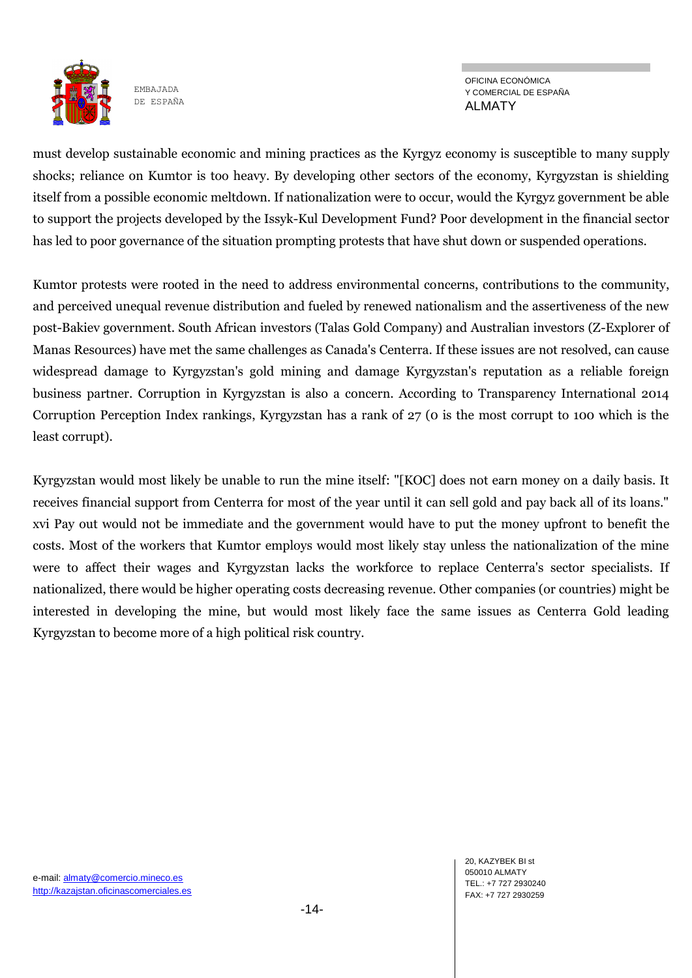

OFICINA ECONÓMICA Y COMERCIAL DE ESPAÑA ALMATY

must develop sustainable economic and mining practices as the Kyrgyz economy is susceptible to many supply shocks; reliance on Kumtor is too heavy. By developing other sectors of the economy, Kyrgyzstan is shielding itself from a possible economic meltdown. If nationalization were to occur, would the Kyrgyz government be able to support the projects developed by the Issyk-Kul Development Fund? Poor development in the financial sector has led to poor governance of the situation prompting protests that have shut down or suspended operations.

Kumtor protests were rooted in the need to address environmental concerns, contributions to the community, and perceived unequal revenue distribution and fueled by renewed nationalism and the assertiveness of the new post-Bakiev government. South African investors (Talas Gold Company) and Australian investors (Z-Explorer of Manas Resources) have met the same challenges as Canada's Centerra. If these issues are not resolved, can cause widespread damage to Kyrgyzstan's gold mining and damage Kyrgyzstan's reputation as a reliable foreign business partner. Corruption in Kyrgyzstan is also a concern. According to Transparency International 2014 Corruption Perception Index rankings, Kyrgyzstan has a rank of 27 (0 is the most corrupt to 100 which is the least corrupt).

Kyrgyzstan would most likely be unable to run the mine itself: "[KOC] does not earn money on a daily basis. It receives financial support from Centerra for most of the year until it can sell gold and pay back all of its loans." xvi Pay out would not be immediate and the government would have to put the money upfront to benefit the costs. Most of the workers that Kumtor employs would most likely stay unless the nationalization of the mine were to affect their wages and Kyrgyzstan lacks the workforce to replace Centerra's sector specialists. If nationalized, there would be higher operating costs decreasing revenue. Other companies (or countries) might be interested in developing the mine, but would most likely face the same issues as Centerra Gold leading Kyrgyzstan to become more of a high political risk country.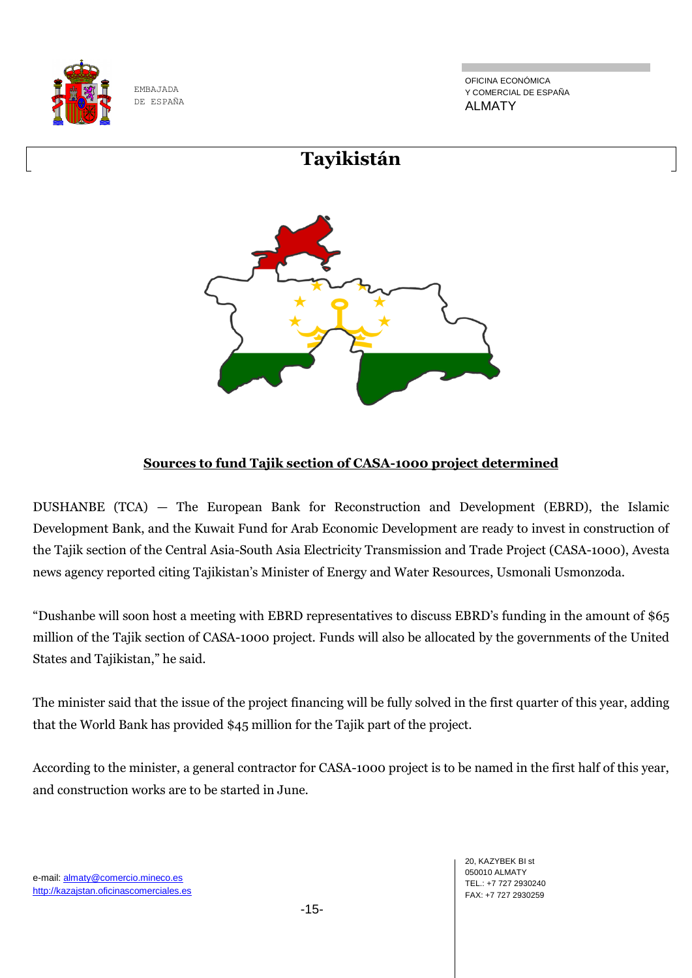

OFICINA ECONÓMICA Y COMERCIAL DE ESPAÑA ALMATY



#### **Sources to fund Tajik section of CASA-1000 project determined**

DUSHANBE (TCA) — The European Bank for Reconstruction and Development (EBRD), the Islamic Development Bank, and the Kuwait Fund for Arab Economic Development are ready to invest in construction of the Tajik section of the Central Asia-South Asia Electricity Transmission and Trade Project (CASA-1000), Avesta news agency reported citing Tajikistan's Minister of Energy and Water Resources, Usmonali Usmonzoda.

"Dushanbe will soon host a meeting with EBRD representatives to discuss EBRD's funding in the amount of \$65 million of the Tajik section of CASA-1000 project. Funds will also be allocated by the governments of the United States and Tajikistan," he said.

The minister said that the issue of the project financing will be fully solved in the first quarter of this year, adding that the World Bank has provided \$45 million for the Tajik part of the project.

According to the minister, a general contractor for CASA-1000 project is to be named in the first half of this year, and construction works are to be started in June.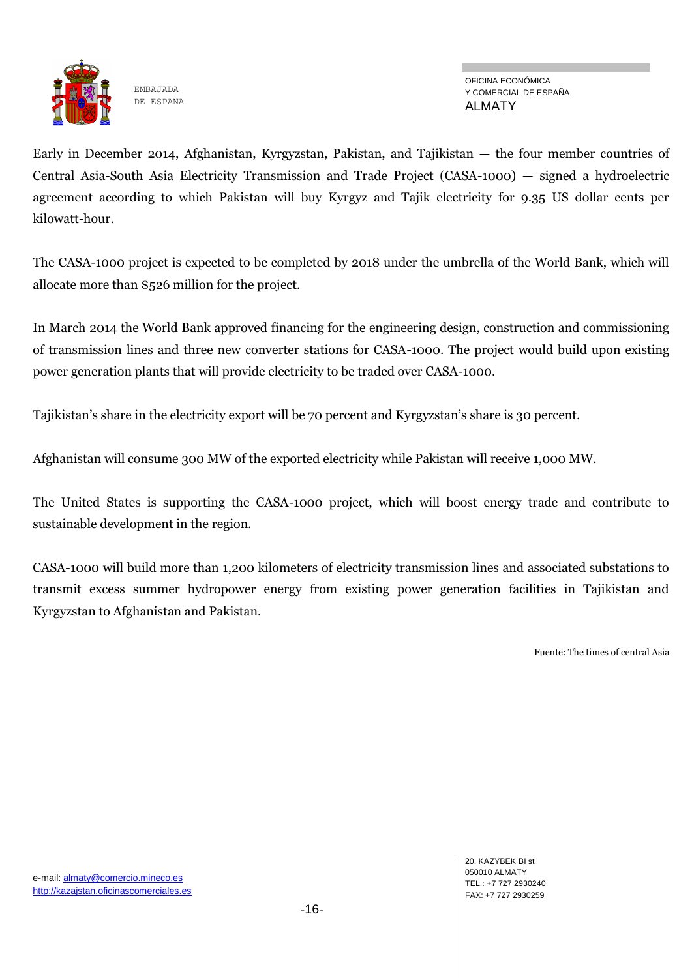

Early in December 2014, Afghanistan, Kyrgyzstan, Pakistan, and Tajikistan — the four member countries of Central Asia-South Asia Electricity Transmission and Trade Project (CASA-1000) — signed a hydroelectric agreement according to which Pakistan will buy Kyrgyz and Tajik electricity for 9.35 US dollar cents per kilowatt-hour.

The CASA-1000 project is expected to be completed by 2018 under the umbrella of the World Bank, which will allocate more than \$526 million for the project.

In March 2014 the World Bank approved financing for the engineering design, construction and commissioning of transmission lines and three new converter stations for CASA-1000. The project would build upon existing power generation plants that will provide electricity to be traded over CASA-1000.

Tajikistan's share in the electricity export will be 70 percent and Kyrgyzstan's share is 30 percent.

Afghanistan will consume 300 MW of the exported electricity while Pakistan will receive 1,000 MW.

The United States is supporting the CASA-1000 project, which will boost energy trade and contribute to sustainable development in the region.

CASA-1000 will build more than 1,200 kilometers of electricity transmission lines and associated substations to transmit excess summer hydropower energy from existing power generation facilities in Tajikistan and Kyrgyzstan to Afghanistan and Pakistan.

Fuente: The times of central Asia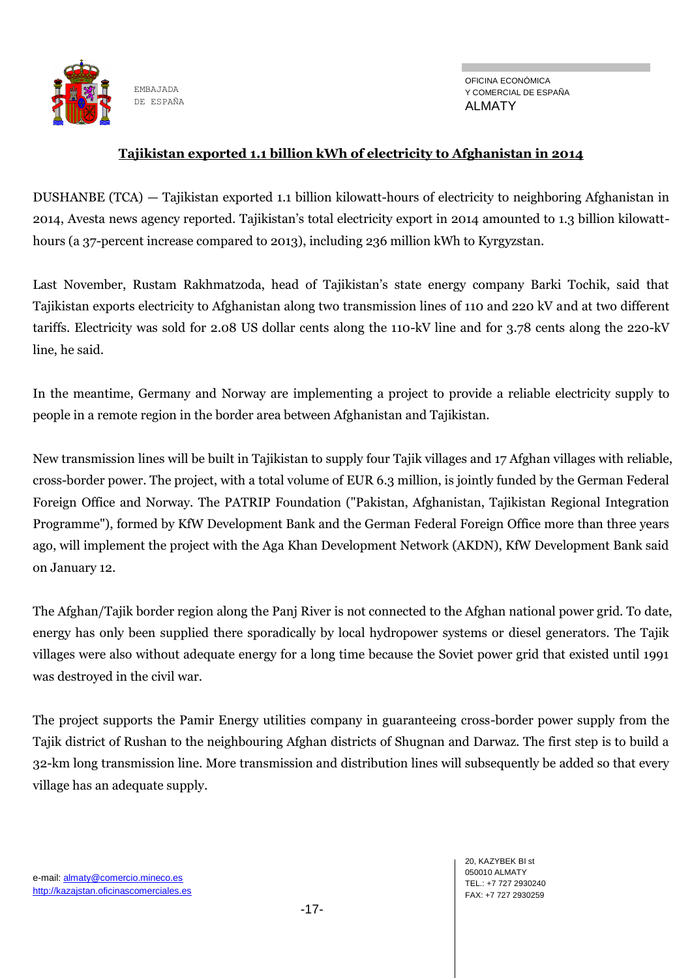

OFICINA ECONÓMICA Y COMERCIAL DE ESPAÑA ALMATY

#### **Tajikistan exported 1.1 billion kWh of electricity to Afghanistan in 2014**

DUSHANBE (TCA) — Tajikistan exported 1.1 billion kilowatt-hours of electricity to neighboring Afghanistan in 2014, Avesta news agency reported. Tajikistan's total electricity export in 2014 amounted to 1.3 billion kilowatthours (a 37-percent increase compared to 2013), including 236 million kWh to Kyrgyzstan.

Last November, Rustam Rakhmatzoda, head of Tajikistan's state energy company Barki Tochik, said that Tajikistan exports electricity to Afghanistan along two transmission lines of 110 and 220 kV and at two different tariffs. Electricity was sold for 2.08 US dollar cents along the 110-kV line and for 3.78 cents along the 220-kV line, he said.

In the meantime, Germany and Norway are implementing a project to provide a reliable electricity supply to people in a remote region in the border area between Afghanistan and Tajikistan.

New transmission lines will be built in Tajikistan to supply four Tajik villages and 17 Afghan villages with reliable, cross-border power. The project, with a total volume of EUR 6.3 million, is jointly funded by the German Federal Foreign Office and Norway. The PATRIP Foundation ("Pakistan, Afghanistan, Tajikistan Regional Integration Programme"), formed by KfW Development Bank and the German Federal Foreign Office more than three years ago, will implement the project with the Aga Khan Development Network (AKDN), KfW Development Bank said on January 12.

The Afghan/Tajik border region along the Panj River is not connected to the Afghan national power grid. To date, energy has only been supplied there sporadically by local hydropower systems or diesel generators. The Tajik villages were also without adequate energy for a long time because the Soviet power grid that existed until 1991 was destroyed in the civil war.

The project supports the Pamir Energy utilities company in guaranteeing cross-border power supply from the Tajik district of Rushan to the neighbouring Afghan districts of Shugnan and Darwaz. The first step is to build a 32-km long transmission line. More transmission and distribution lines will subsequently be added so that every village has an adequate supply.